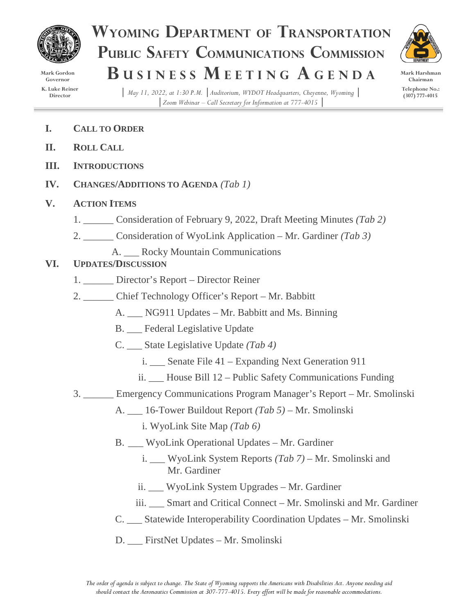

**Mark Gordon Governor K. Luke Reiner Director**

## **Wyoming Department of Transportation PUBLIC SAFETY Communications Commission B u s i n e s s M E E T I N G A g e n d a**



**Mark Harshman**

*│ May 11, 2022, at 1:30 P.M.* │*Auditorium, WYDOT Headquarters, Cheyenne, Wyoming* │ │*Zoom Webinar – Call Secretary for Information at 777-4015* │

- **I. CALL TO ORDER**
- **II. ROLL CALL**
- **III. INTRODUCTIONS**
- **IV. CHANGES/ADDITIONS TO AGENDA** *(Tab 1)*
- **V. ACTION ITEMS**
	- 1. \_\_\_\_\_\_ Consideration of February 9, 2022, Draft Meeting Minutes *(Tab 2)*
	- 2. \_\_\_\_\_\_ Consideration of WyoLink Application Mr. Gardiner *(Tab 3)*
		- A. \_\_\_ Rocky Mountain Communications

## **VI. UPDATES/DISCUSSION**

- 1. \_\_\_\_\_\_ Director's Report Director Reiner
- 2. Chief Technology Officer's Report Mr. Babbitt
	- A. \_\_\_ NG911 Updates Mr. Babbitt and Ms. Binning
	- B. \_\_\_ Federal Legislative Update
	- C. \_\_\_ State Legislative Update *(Tab 4)*
		- i. \_\_\_ Senate File 41 Expanding Next Generation 911
		- ii. \_\_\_ House Bill 12 Public Safety Communications Funding
- 3. \_\_\_\_\_\_ Emergency Communications Program Manager's Report Mr. Smolinski
	- A. \_\_\_ 16-Tower Buildout Report *(Tab 5)* Mr. Smolinski
		- i. WyoLink Site Map *(Tab 6)*
	- B. \_\_\_ WyoLink Operational Updates Mr. Gardiner
		- i. \_\_\_ WyoLink System Reports *(Tab 7)* Mr. Smolinski and Mr. Gardiner
		- ii. \_\_\_ WyoLink System Upgrades Mr. Gardiner
		- iii. Smart and Critical Connect Mr. Smolinski and Mr. Gardiner
	- C. \_\_\_ Statewide Interoperability Coordination Updates Mr. Smolinski
	- D. \_\_\_ FirstNet Updates Mr. Smolinski